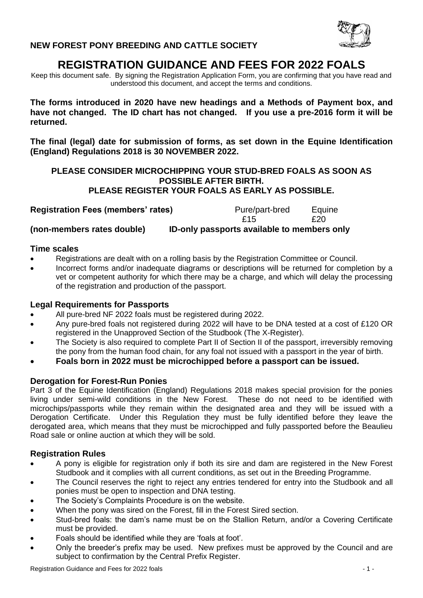

# **REGISTRATION GUIDANCE AND FEES FOR 2022 FOALS**

Keep this document safe. By signing the Registration Application Form, you are confirming that you have read and understood this document, and accept the terms and conditions.

**The forms introduced in 2020 have new headings and a Methods of Payment box, and have not changed. The ID chart has not changed. If you use a pre-2016 form it will be returned.** 

**The final (legal) date for submission of forms, as set down in the Equine Identification (England) Regulations 2018 is 30 NOVEMBER 2022.**

## **PLEASE CONSIDER MICROCHIPPING YOUR STUD-BRED FOALS AS SOON AS POSSIBLE AFTER BIRTH. PLEASE REGISTER YOUR FOALS AS EARLY AS POSSIBLE.**

| <b>Registration Fees (members' rates)</b> |  | Pure/part-bred                              | Equine |
|-------------------------------------------|--|---------------------------------------------|--------|
|                                           |  | £15                                         | £20    |
| (non-members rates double)                |  | ID-only passports available to members only |        |

#### **Time scales**

- Registrations are dealt with on a rolling basis by the Registration Committee or Council.
- Incorrect forms and/or inadequate diagrams or descriptions will be returned for completion by a vet or competent authority for which there may be a charge, and which will delay the processing of the registration and production of the passport.

## **Legal Requirements for Passports**

- All pure-bred NF 2022 foals must be registered during 2022.
- Any pure-bred foals not registered during 2022 will have to be DNA tested at a cost of £120 OR registered in the Unapproved Section of the Studbook (The X-Register).
- The Society is also required to complete Part II of Section II of the passport, irreversibly removing the pony from the human food chain, for any foal not issued with a passport in the year of birth.
- **Foals born in 2022 must be microchipped before a passport can be issued.**

## **Derogation for Forest-Run Ponies**

Part 3 of the Equine Identification (England) Regulations 2018 makes special provision for the ponies living under semi-wild conditions in the New Forest. These do not need to be identified with microchips/passports while they remain within the designated area and they will be issued with a Derogation Certificate. Under this Regulation they must be fully identified before they leave the derogated area, which means that they must be microchipped and fully passported before the Beaulieu Road sale or online auction at which they will be sold.

## **Registration Rules**

- A pony is eligible for registration only if both its sire and dam are registered in the New Forest Studbook and it complies with all current conditions, as set out in the Breeding Programme.
- The Council reserves the right to reject any entries tendered for entry into the Studbook and all ponies must be open to inspection and DNA testing.
- The Society's Complaints Procedure is on the website.
- When the pony was sired on the Forest, fill in the Forest Sired section.
- Stud-bred foals: the dam's name must be on the Stallion Return, and/or a Covering Certificate must be provided.
- Foals should be identified while they are 'foals at foot'.
- Only the breeder's prefix may be used. New prefixes must be approved by the Council and are subject to confirmation by the Central Prefix Register.